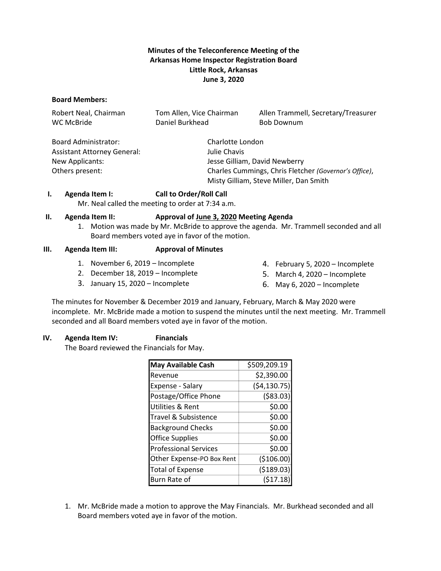# **Minutes of the Teleconference Meeting of the Arkansas Home Inspector Registration Board Little Rock, Arkansas June 3, 2020**

#### **Board Members:**

| Robert Neal, Chairman<br>WC McBride | Tom Allen, Vice Chairman<br>Daniel Burkhead           | Allen Trammell, Secretary/Treasurer<br><b>Bob Downum</b> |  |
|-------------------------------------|-------------------------------------------------------|----------------------------------------------------------|--|
| Board Administrator:                | Charlotte London                                      |                                                          |  |
| <b>Assistant Attorney General:</b>  | Julie Chavis                                          |                                                          |  |
| New Applicants:                     |                                                       | Jesse Gilliam, David Newberry                            |  |
| Others present:                     | Charles Cummings, Chris Fletcher (Governor's Office), |                                                          |  |
|                                     | Misty Gilliam, Steve Miller, Dan Smith                |                                                          |  |

## **I. Agenda Item I: Call to Order/Roll Call**

Mr. Neal called the meeting to order at 7:34 a.m.

#### **II. Agenda Item II: Approval of June 3, 2020 Meeting Agenda**

1. Motion was made by Mr. McBride to approve the agenda. Mr. Trammell seconded and all Board members voted aye in favor of the motion.

#### **III. Agenda Item III: Approval of Minutes**

- 1. November 6, 2019 Incomplete
- 2. December 18, 2019 Incomplete
- 3. January 15, 2020 Incomplete
- 4. February 5, 2020 Incomplete
- 5. March 4, 2020 Incomplete
- 6. May 6, 2020 Incomplete

The minutes for November & December 2019 and January, February, March & May 2020 were incomplete. Mr. McBride made a motion to suspend the minutes until the next meeting. Mr. Trammell seconded and all Board members voted aye in favor of the motion.

## **IV. Agenda Item IV: Financials**

The Board reviewed the Financials for May.

| <b>May Available Cash</b>    | \$509,209.19 |
|------------------------------|--------------|
| Revenue                      | \$2,390.00   |
| <b>Expense - Salary</b>      | (54, 130.75) |
| Postage/Office Phone         | ( \$83.03)   |
| Utilities & Rent             | \$0.00       |
| Travel & Subsistence         | \$0.00       |
| <b>Background Checks</b>     | \$0.00       |
| <b>Office Supplies</b>       | \$0.00       |
| <b>Professional Services</b> | \$0.00       |
| Other Expense-PO Box Rent    | (\$106.00)   |
| <b>Total of Expense</b>      | ( \$189.03)  |
| Burn Rate of                 | (517.18)     |

1. Mr. McBride made a motion to approve the May Financials. Mr. Burkhead seconded and all Board members voted aye in favor of the motion.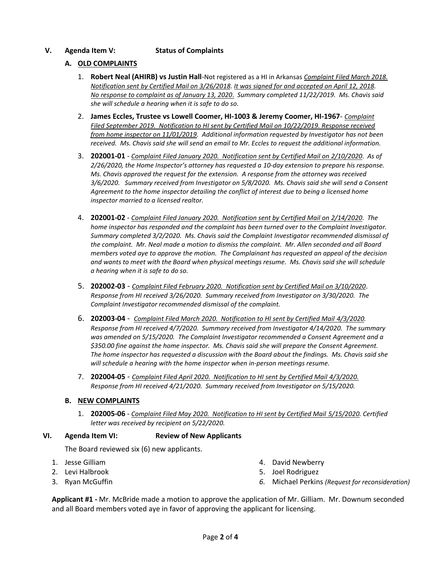# **V. Agenda Item V: Status of Complaints**

# **A. OLD COMPLAINTS**

- 1. **Robert Neal (AHIRB) vs Justin Hall**-Not registered as a HI in Arkansas *Complaint Filed March 2018. Notification sent by Certified Mail on 3/26/2018*. *It was signed for and accepted on April 12, 2018. No response to complaint as of January 13, 2020*. *Summary completed 11/22/2019. Ms. Chavis said she will schedule a hearing when it is safe to do so.*
- 2. **James Eccles, Trustee vs Lowell Coomer, HI-1003 & Jeremy Coomer, HI-1967** *Complaint Filed September 2019. Notification to HI sent by Certified Mail on 10/22/2019. Response received from home inspector on 11/01/2019.* Additional information requested by Investigator has not been *received. Ms. Chavis said she will send an email to Mr. Eccles to request the additional information.*
- 3. **202001-01** *Complaint Filed January 2020. Notification sent by Certified Mail on 2/10/2020*. *As of 2/26/2020, the Home Inspector's attorney has requested a 10-day extension to prepare his response. Ms. Chavis approved the request for the extension. A response from the attorney was received 3/6/2020. Summary received from Investigator on 5/8/2020. Ms. Chavis said she will send a Consent Agreement to the home inspector detailing the conflict of interest due to being a licensed home inspector married to a licensed realtor.*
- 4. **202001-02** *Complaint Filed January 2020. Notification sent by Certified Mail on 2/14/2020*. *The home inspector has responded and the complaint has been turned over to the Complaint Investigator. Summary completed 3/2/2020. Ms. Chavis said the Complaint Investigator recommended dismissal of the complaint. Mr. Neal made a motion to dismiss the complaint. Mr. Allen seconded and all Board members voted aye to approve the motion. The Complainant has requested an appeal of the decision and wants to meet with the Board when physical meetings resume. Ms. Chavis said she will schedule a hearing when it is safe to do so.*
- 5. **202002-03** *Complaint Filed February 2020. Notification sent by Certified Mail on 3/10/2020*. *Response from HI received 3/26/2020. Summary received from Investigator on 3/30/2020. The Complaint Investigator recommended dismissal of the complaint.*
- 6. **202003-04** *Complaint Filed March 2020. Notification to HI sent by Certified Mail 4/3/2020. Response from HI received 4/7/2020. Summary received from Investigator 4/14/2020. The summary was amended on 5/15/2020. The Complaint Investigator recommended a Consent Agreement and a \$350.00 fine against the home inspector. Ms. Chavis said she will prepare the Consent Agreement. The home inspector has requested a discussion with the Board about the findings. Ms. Chavis said she will schedule a hearing with the home inspector when in-person meetings resume.*
- 7. **202004-05** *Complaint Filed April 2020. Notification to HI sent by Certified Mail 4/3/2020. Response from HI received 4/21/2020. Summary received from Investigator on 5/15/2020.*

## **B. NEW COMPLAINTS**

1. **202005-06** - *Complaint Filed May 2020. Notification to HI sent by Certified Mail 5/15/2020. Certified letter was received by recipient on 5/22/2020.*

## **VI. Agenda Item VI: Review of New Applicants**

The Board reviewed six (6) new applicants.

- 1. Jesse Gilliam
- 2. Levi Halbrook
- 3. Ryan McGuffin
- 4. David Newberry
- 5. Joel Rodriguez
- *6.* Michael Perkins *(Request for reconsideration)*

**Applicant #1 -** Mr. McBride made a motion to approve the application of Mr. Gilliam. Mr. Downum seconded and all Board members voted aye in favor of approving the applicant for licensing.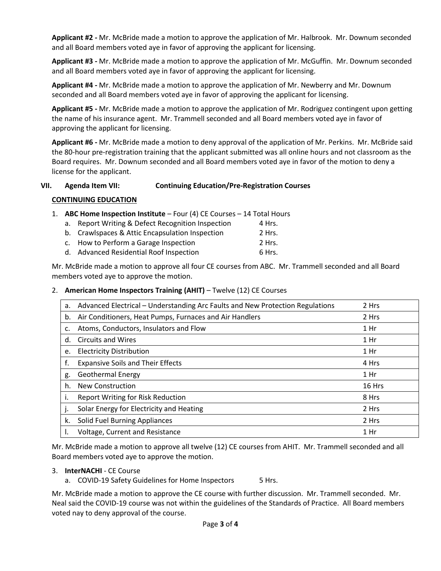**Applicant #2 -** Mr. McBride made a motion to approve the application of Mr. Halbrook. Mr. Downum seconded and all Board members voted aye in favor of approving the applicant for licensing.

**Applicant #3 -** Mr. McBride made a motion to approve the application of Mr. McGuffin. Mr. Downum seconded and all Board members voted aye in favor of approving the applicant for licensing.

**Applicant #4 -** Mr. McBride made a motion to approve the application of Mr. Newberry and Mr. Downum seconded and all Board members voted aye in favor of approving the applicant for licensing.

**Applicant #5 -** Mr. McBride made a motion to approve the application of Mr. Rodriguez contingent upon getting the name of his insurance agent. Mr. Trammell seconded and all Board members voted aye in favor of approving the applicant for licensing.

**Applicant #6 -** Mr. McBride made a motion to deny approval of the application of Mr. Perkins. Mr. McBride said the 80-hour pre-registration training that the applicant submitted was all online hours and not classroom as the Board requires. Mr. Downum seconded and all Board members voted aye in favor of the motion to deny a license for the applicant.

# **VII. Agenda Item VII: Continuing Education/Pre-Registration Courses**

# **CONTINUING EDUCATION**

- 1. **ABC Home Inspection Institute** Four (4) CE Courses 14 Total Hours
	- a. Report Writing & Defect Recognition Inspection 4 Hrs. b. Crawlspaces & Attic Encapsulation Inspection 2 Hrs. c. How to Perform a Garage Inspection 2 Hrs. d. Advanced Residential Roof Inspection 6 Hrs.

Mr. McBride made a motion to approve all four CE courses from ABC. Mr. Trammell seconded and all Board members voted aye to approve the motion.

## 2. **American Home Inspectors Training (AHIT)** – Twelve (12) CE Courses

| а. | Advanced Electrical – Understanding Arc Faults and New Protection Regulations | 2 Hrs           |
|----|-------------------------------------------------------------------------------|-----------------|
| b. | Air Conditioners, Heat Pumps, Furnaces and Air Handlers                       | 2 Hrs           |
| c. | Atoms, Conductors, Insulators and Flow                                        | $1$ Hr          |
| d. | <b>Circuits and Wires</b>                                                     | 1 Hr            |
| e. | <b>Electricity Distribution</b>                                               | 1 Hr            |
| f. | <b>Expansive Soils and Their Effects</b>                                      | 4 Hrs           |
| g. | <b>Geothermal Energy</b>                                                      | 1 Hr            |
| h. | <b>New Construction</b>                                                       | 16 Hrs          |
|    | <b>Report Writing for Risk Reduction</b>                                      | 8 Hrs           |
| Ι. | Solar Energy for Electricity and Heating                                      | 2 Hrs           |
| k. | Solid Fuel Burning Appliances                                                 | 2 Hrs           |
|    | Voltage, Current and Resistance                                               | 1 <sub>hr</sub> |

Mr. McBride made a motion to approve all twelve (12) CE courses from AHIT. Mr. Trammell seconded and all Board members voted aye to approve the motion.

## 3. **InterNACHI** - CE Course

a. COVID-19 Safety Guidelines for Home Inspectors 5 Hrs.

Mr. McBride made a motion to approve the CE course with further discussion. Mr. Trammell seconded. Mr. Neal said the COVID-19 course was not within the guidelines of the Standards of Practice. All Board members voted nay to deny approval of the course.